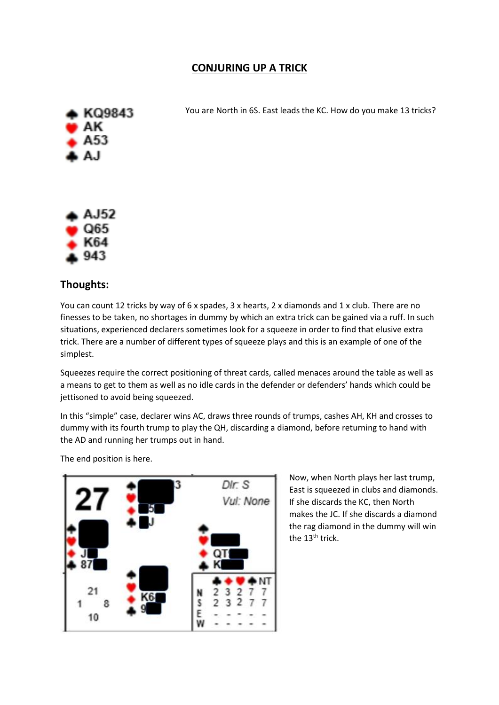## **CONJURING UP A TRICK**



You are North in 6S. East leads the KC. How do you make 13 tricks?



## **Thoughts:**

You can count 12 tricks by way of 6 x spades, 3 x hearts, 2 x diamonds and 1 x club. There are no finesses to be taken, no shortages in dummy by which an extra trick can be gained via a ruff. In such situations, experienced declarers sometimes look for a squeeze in order to find that elusive extra trick. There are a number of different types of squeeze plays and this is an example of one of the simplest.

Squeezes require the correct positioning of threat cards, called menaces around the table as well as a means to get to them as well as no idle cards in the defender or defenders' hands which could be jettisoned to avoid being squeezed.

In this "simple" case, declarer wins AC, draws three rounds of trumps, cashes AH, KH and crosses to dummy with its fourth trump to play the QH, discarding a diamond, before returning to hand with the AD and running her trumps out in hand.

The end position is here.



Now, when North plays her last trump, East is squeezed in clubs and diamonds. If she discards the KC, then North makes the JC. If she discards a diamond the rag diamond in the dummy will win the 13<sup>th</sup> trick.